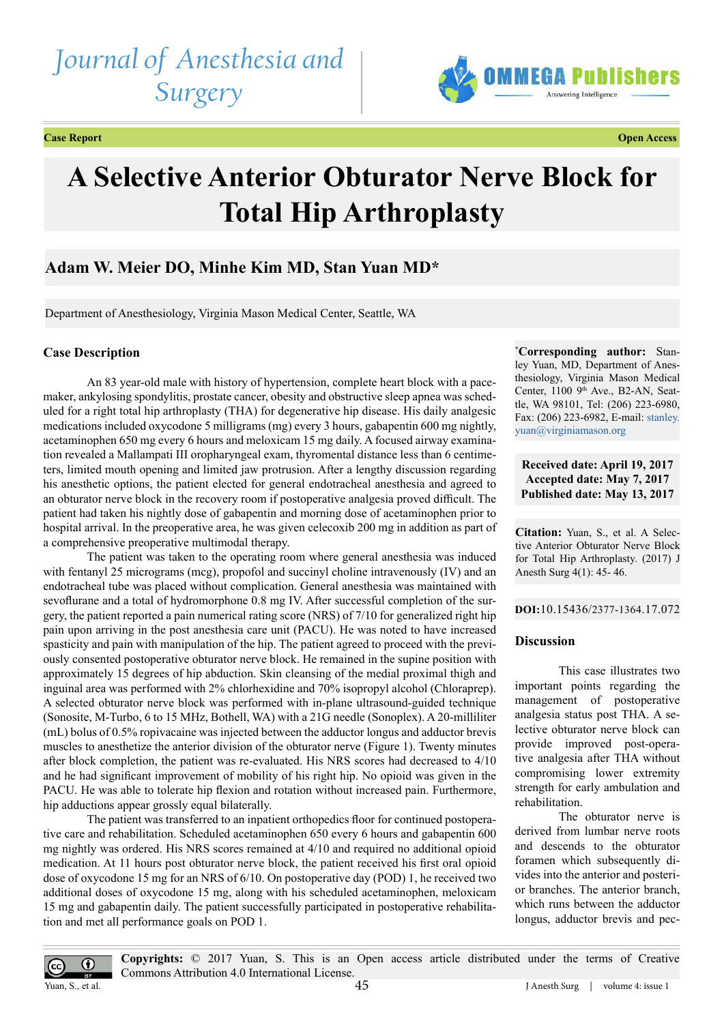# *Journal of Anesthesia and Surgery*





# **A Selective Anterior Obturator Nerve Block for Total Hip Arthroplasty**

## **Adam W. Meier DO, Minhe Kim MD, Stan Yuan MD\***

Department of Anesthesiology, Virginia Mason Medical Center, Seattle, WA

### **Case Description**

An 83 year-old male with history of hypertension, complete heart block with a pacemaker, ankylosing spondylitis, prostate cancer, obesity and obstructive sleep apnea was scheduled for a right total hip arthroplasty (THA) for degenerative hip disease. His daily analgesic medications included oxycodone 5 milligrams (mg) every 3 hours, gabapentin 600 mg nightly, acetaminophen 650 mg every 6 hours and meloxicam 15 mg daily. A focused airway examination revealed a Mallampati III oropharyngeal exam, thyromental distance less than 6 centimeters, limited mouth opening and limited jaw protrusion. After a lengthy discussion regarding his anesthetic options, the patient elected for general endotracheal anesthesia and agreed to an obturator nerve block in the recovery room if postoperative analgesia proved difficult. The patient had taken his nightly dose of gabapentin and morning dose of acetaminophen prior to hospital arrival. In the preoperative area, he was given celecoxib 200 mg in addition as part of a comprehensive preoperative multimodal therapy.

The patient was taken to the operating room where general anesthesia was induced with fentanyl 25 micrograms (mcg), propofol and succinyl choline intravenously (IV) and an endotracheal tube was placed without complication. General anesthesia was maintained with sevoflurane and a total of hydromorphone 0.8 mg IV. After successful completion of the surgery, the patient reported a pain numerical rating score (NRS) of 7/10 for generalized right hip pain upon arriving in the post anesthesia care unit (PACU). He was noted to have increased spasticity and pain with manipulation of the hip. The patient agreed to proceed with the previously consented postoperative obturator nerve block. He remained in the supine position with approximately 15 degrees of hip abduction. Skin cleansing of the medial proximal thigh and inguinal area was performed with 2% chlorhexidine and 70% isopropyl alcohol (Chloraprep). A selected obturator nerve block was performed with in-plane ultrasound-guided technique (Sonosite, M-Turbo, 6 to 15 MHz, Bothell, WA) with a 21G needle (Sonoplex). A 20-milliliter (mL) bolus of 0.5% ropivacaine was injected between the adductor longus and adductor brevis muscles to anesthetize the anterior division of the obturator nerve (Figure 1). Twenty minutes after block completion, the patient was re-evaluated. His NRS scores had decreased to 4/10 and he had significant improvement of mobility of his right hip. No opioid was given in the PACU. He was able to tolerate hip flexion and rotation without increased pain. Furthermore, hip adductions appear grossly equal bilaterally.

The patient was transferred to an inpatient orthopedics floor for continued postoperative care and rehabilitation. Scheduled acetaminophen 650 every 6 hours and gabapentin 600 mg nightly was ordered. His NRS scores remained at 4/10 and required no additional opioid medication. At 11 hours post obturator nerve block, the patient received his first oral opioid dose of oxycodone 15 mg for an NRS of 6/10. On postoperative day (POD) 1, he received two additional doses of oxycodone 15 mg, along with his scheduled acetaminophen, meloxicam 15 mg and gabapentin daily. The patient successfully participated in postoperative rehabilitation and met all performance goals on POD 1.

**\* Corresponding author:** Stanley Yuan, MD, Department of Anesthesiology, Virginia Mason Medical Center, 1100 9<sup>th</sup> Ave., B2-AN, Seattle, WA 98101, Tel: (206) 223-6980, Fax: (206) 223-6982, E-mail: [stanley.](mailto:stanley.yuan@virginiamason.org) [yuan@virginiamason.org](mailto:stanley.yuan@virginiamason.org)

**Received date: April 19, 2017 Accepted date: May 7, 2017 Published date: May 13, 2017**

**Citation:** Yuan, S., et al. A Selective Anterior Obturator Nerve Block for Total Hip Arthroplasty. (2017) J Anesth Surg 4(1): 45- 46.

**DOI:**[10.15436/2377-1364.17](http://www.dx.doi.org/10.15436/2377-1364.17.072
).072

#### **Discussion**

This case illustrates two important points regarding the management of postoperative analgesia status post THA. A selective obturator nerve block can provide improved post-operative analgesia after THA without compromising lower extremity strength for early ambulation and rehabilitation.

The obturator nerve is derived from lumbar nerve roots and descends to the obturator foramen which subsequently divides into the anterior and posterior branches. The anterior branch, which runs between the adductor longus, adductor brevis and pec-



**Copyrights:** © 2017 Yuan, S. This is an Open access article distributed under the terms of Creative Commons Attribution 4.0 International License.